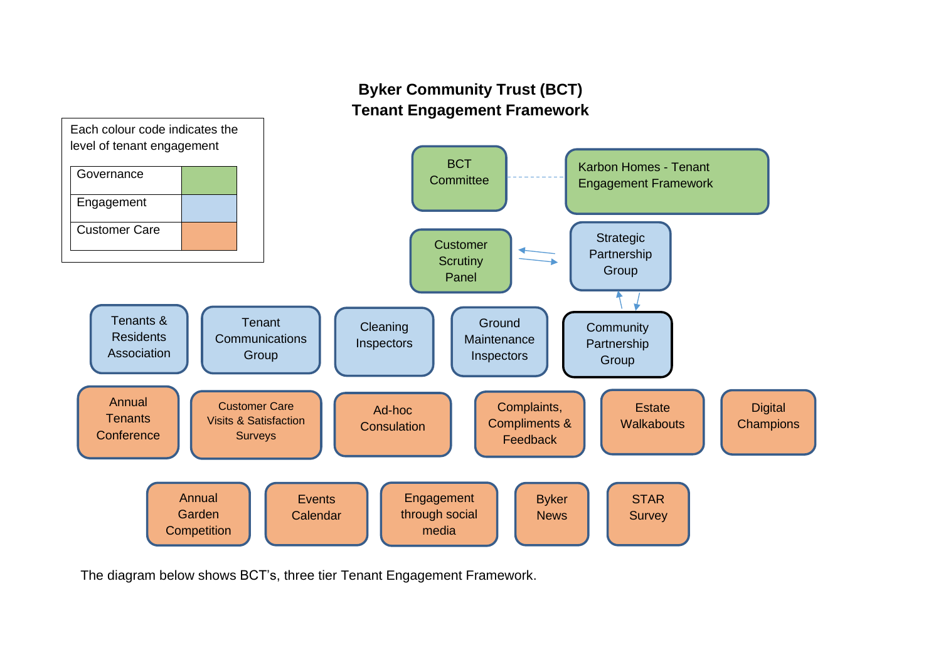# **Byker Community Trust (BCT) Tenant Engagement Framework**



The diagram below shows BCT's, three tier Tenant Engagement Framework.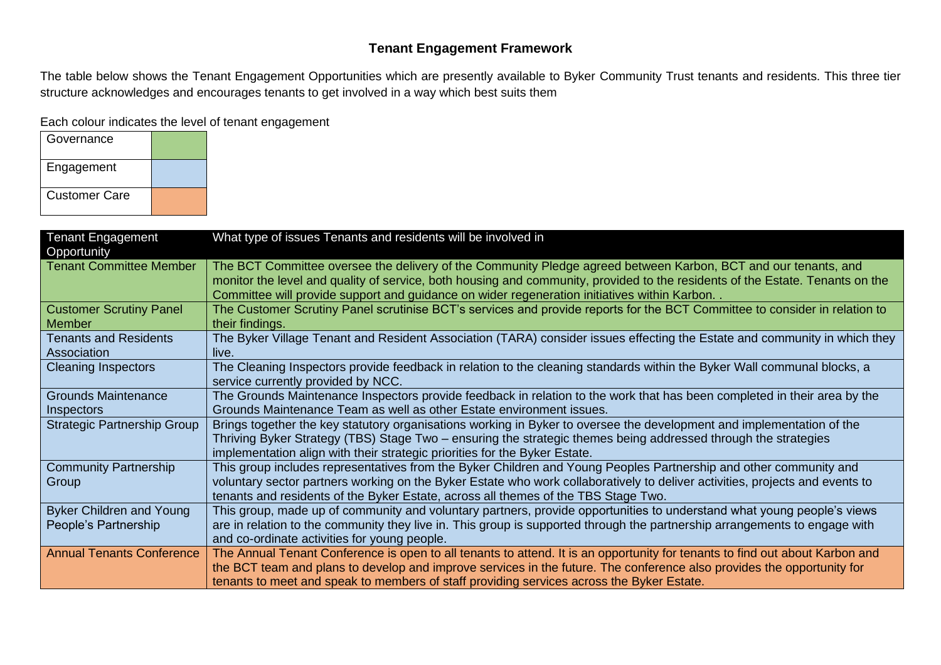### **Tenant Engagement Framework**

The table below shows the Tenant Engagement Opportunities which are presently available to Byker Community Trust tenants and residents. This three tier structure acknowledges and encourages tenants to get involved in a way which best suits them

Each colour indicates the level of tenant engagement

| Governance           |  |
|----------------------|--|
| Engagement           |  |
| <b>Customer Care</b> |  |

| <b>Tenant Engagement</b><br>Opportunity                 | What type of issues Tenants and residents will be involved in                                                                                                                                                                                                                                                                                       |
|---------------------------------------------------------|-----------------------------------------------------------------------------------------------------------------------------------------------------------------------------------------------------------------------------------------------------------------------------------------------------------------------------------------------------|
| <b>Tenant Committee Member</b>                          | The BCT Committee oversee the delivery of the Community Pledge agreed between Karbon, BCT and our tenants, and<br>monitor the level and quality of service, both housing and community, provided to the residents of the Estate. Tenants on the<br>Committee will provide support and guidance on wider regeneration initiatives within Karbon      |
| <b>Customer Scrutiny Panel</b><br><b>Member</b>         | The Customer Scrutiny Panel scrutinise BCT's services and provide reports for the BCT Committee to consider in relation to<br>their findings.                                                                                                                                                                                                       |
| <b>Tenants and Residents</b><br>Association             | The Byker Village Tenant and Resident Association (TARA) consider issues effecting the Estate and community in which they<br>live.                                                                                                                                                                                                                  |
| <b>Cleaning Inspectors</b>                              | The Cleaning Inspectors provide feedback in relation to the cleaning standards within the Byker Wall communal blocks, a<br>service currently provided by NCC.                                                                                                                                                                                       |
| <b>Grounds Maintenance</b><br><b>Inspectors</b>         | The Grounds Maintenance Inspectors provide feedback in relation to the work that has been completed in their area by the<br>Grounds Maintenance Team as well as other Estate environment issues.                                                                                                                                                    |
| <b>Strategic Partnership Group</b>                      | Brings together the key statutory organisations working in Byker to oversee the development and implementation of the<br>Thriving Byker Strategy (TBS) Stage Two – ensuring the strategic themes being addressed through the strategies<br>implementation align with their strategic priorities for the Byker Estate.                               |
| <b>Community Partnership</b><br>Group                   | This group includes representatives from the Byker Children and Young Peoples Partnership and other community and<br>voluntary sector partners working on the Byker Estate who work collaboratively to deliver activities, projects and events to<br>tenants and residents of the Byker Estate, across all themes of the TBS Stage Two.             |
| <b>Byker Children and Young</b><br>People's Partnership | This group, made up of community and voluntary partners, provide opportunities to understand what young people's views<br>are in relation to the community they live in. This group is supported through the partnership arrangements to engage with<br>and co-ordinate activities for young people.                                                |
| <b>Annual Tenants Conference</b>                        | The Annual Tenant Conference is open to all tenants to attend. It is an opportunity for tenants to find out about Karbon and<br>the BCT team and plans to develop and improve services in the future. The conference also provides the opportunity for<br>tenants to meet and speak to members of staff providing services across the Byker Estate. |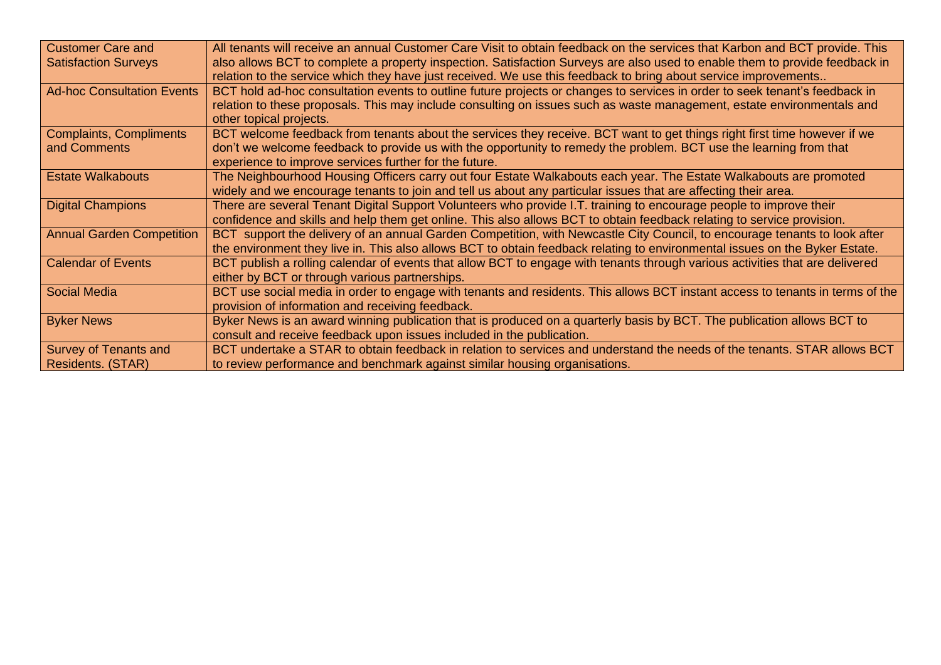| <b>Customer Care and</b>          | All tenants will receive an annual Customer Care Visit to obtain feedback on the services that Karbon and BCT provide. This   |
|-----------------------------------|-------------------------------------------------------------------------------------------------------------------------------|
| <b>Satisfaction Surveys</b>       | also allows BCT to complete a property inspection. Satisfaction Surveys are also used to enable them to provide feedback in   |
|                                   | relation to the service which they have just received. We use this feedback to bring about service improvements               |
| <b>Ad-hoc Consultation Events</b> | BCT hold ad-hoc consultation events to outline future projects or changes to services in order to seek tenant's feedback in   |
|                                   | relation to these proposals. This may include consulting on issues such as waste management, estate environmentals and        |
|                                   | other topical projects.                                                                                                       |
| Complaints, Compliments           | BCT welcome feedback from tenants about the services they receive. BCT want to get things right first time however if we      |
| and Comments                      | don't we welcome feedback to provide us with the opportunity to remedy the problem. BCT use the learning from that            |
|                                   | experience to improve services further for the future.                                                                        |
| <b>Estate Walkabouts</b>          | The Neighbourhood Housing Officers carry out four Estate Walkabouts each year. The Estate Walkabouts are promoted             |
|                                   | widely and we encourage tenants to join and tell us about any particular issues that are affecting their area.                |
| <b>Digital Champions</b>          | There are several Tenant Digital Support Volunteers who provide I.T. training to encourage people to improve their            |
|                                   | confidence and skills and help them get online. This also allows BCT to obtain feedback relating to service provision.        |
| <b>Annual Garden Competition</b>  | BCT support the delivery of an annual Garden Competition, with Newcastle City Council, to encourage tenants to look after     |
|                                   | the environment they live in. This also allows BCT to obtain feedback relating to environmental issues on the Byker Estate.   |
| <b>Calendar of Events</b>         | BCT publish a rolling calendar of events that allow BCT to engage with tenants through various activities that are delivered  |
|                                   | either by BCT or through various partnerships.                                                                                |
| Social Media                      | BCT use social media in order to engage with tenants and residents. This allows BCT instant access to tenants in terms of the |
|                                   | provision of information and receiving feedback.                                                                              |
| <b>Byker News</b>                 | Byker News is an award winning publication that is produced on a quarterly basis by BCT. The publication allows BCT to        |
|                                   | consult and receive feedback upon issues included in the publication.                                                         |
| Survey of Tenants and             | BCT undertake a STAR to obtain feedback in relation to services and understand the needs of the tenants. STAR allows BCT      |
| <b>Residents. (STAR)</b>          | to review performance and benchmark against similar housing organisations.                                                    |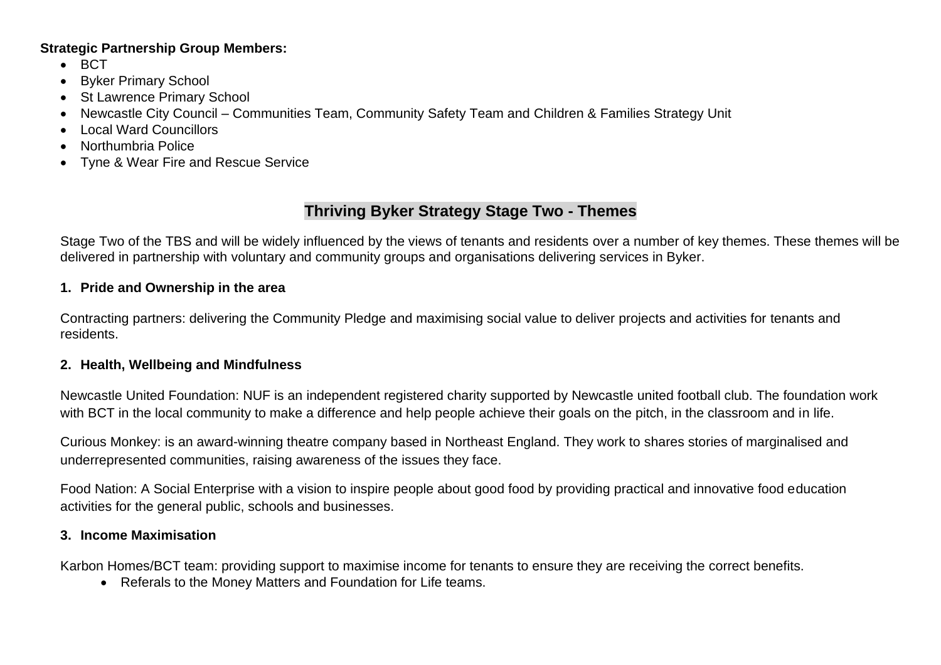#### **Strategic Partnership Group Members:**

- BCT
- Byker Primary School
- St Lawrence Primary School
- Newcastle City Council Communities Team, Community Safety Team and Children & Families Strategy Unit
- Local Ward Councillors
- Northumbria Police
- Tyne & Wear Fire and Rescue Service

## **Thriving Byker Strategy Stage Two - Themes**

Stage Two of the TBS and will be widely influenced by the views of tenants and residents over a number of key themes. These themes will be delivered in partnership with voluntary and community groups and organisations delivering services in Byker.

#### **1. Pride and Ownership in the area**

Contracting partners: delivering the Community Pledge and maximising social value to deliver projects and activities for tenants and residents.

#### **2. Health, Wellbeing and Mindfulness**

Newcastle United Foundation: NUF is an independent registered charity supported by Newcastle united football club. The foundation work with BCT in the local community to make a difference and help people achieve their goals on the pitch, in the classroom and in life.

Curious Monkey: is an award-winning theatre company based in Northeast England. They work to shares stories of marginalised and underrepresented communities, raising awareness of the issues they face.

Food Nation: A Social Enterprise with a vision to inspire people about good food by providing practical and innovative food education activities for the general public, schools and businesses.

#### **3. Income Maximisation**

Karbon Homes/BCT team: providing support to maximise income for tenants to ensure they are receiving the correct benefits.

• Referals to the Money Matters and Foundation for Life teams.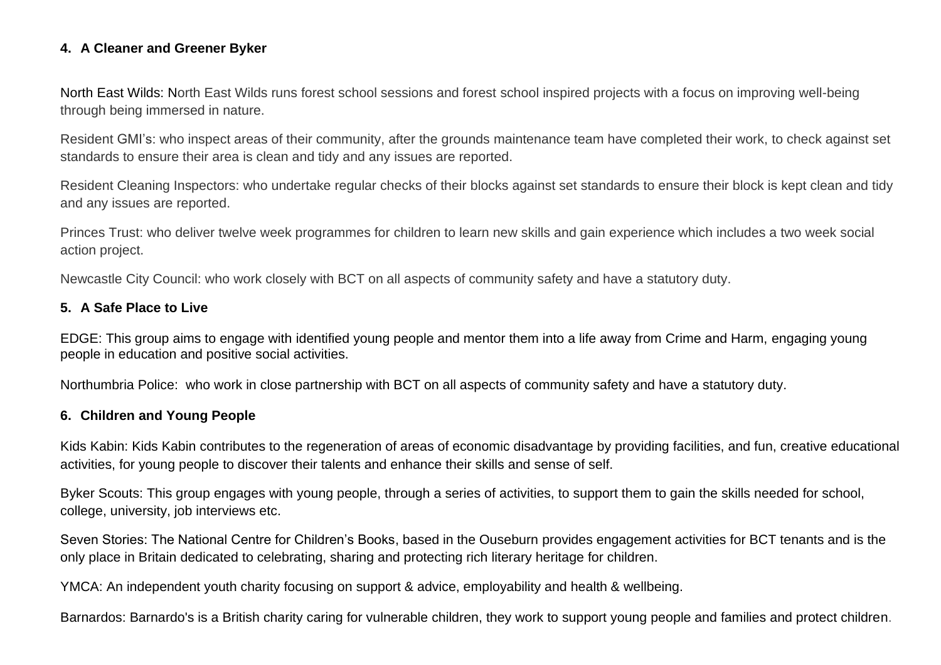#### **4. A Cleaner and Greener Byker**

North East Wilds: North East Wilds runs forest school sessions and forest school inspired projects with a focus on improving well-being through being immersed in nature.

Resident GMI's: who inspect areas of their community, after the grounds maintenance team have completed their work, to check against set standards to ensure their area is clean and tidy and any issues are reported.

Resident Cleaning Inspectors: who undertake regular checks of their blocks against set standards to ensure their block is kept clean and tidy and any issues are reported.

Princes Trust: who deliver twelve week programmes for children to learn new skills and gain experience which includes a two week social action project.

Newcastle City Council: who work closely with BCT on all aspects of community safety and have a statutory duty.

#### **5. A Safe Place to Live**

EDGE: This group aims to engage with identified young people and mentor them into a life away from Crime and Harm, engaging young people in education and positive social activities.

Northumbria Police: who work in close partnership with BCT on all aspects of community safety and have a statutory duty.

#### **6. Children and Young People**

Kids Kabin: Kids Kabin contributes to the regeneration of areas of economic disadvantage by providing facilities, and fun, creative educational activities, for young people to discover their talents and enhance their skills and sense of self.

Byker Scouts: This group engages with young people, through a series of activities, to support them to gain the skills needed for school, college, university, job interviews etc.

Seven Stories: The National Centre for Children's Books, based in the Ouseburn provides engagement activities for BCT tenants and is the only place in Britain dedicated to celebrating, sharing and protecting rich literary heritage for children.

YMCA: An independent youth charity focusing on support & advice, employability and health & wellbeing.

Barnardos: Barnardo's is a British charity caring for vulnerable children, they work to support young people and families and protect children.